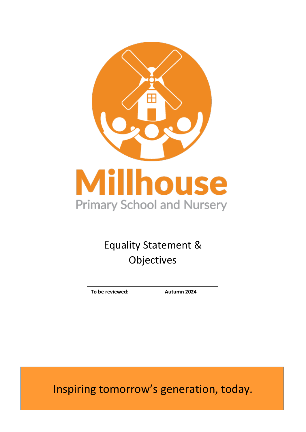

### Equality Statement & Objectives

**To be reviewed: Autumn 2024**

Inspiring tomorrow's generation, today.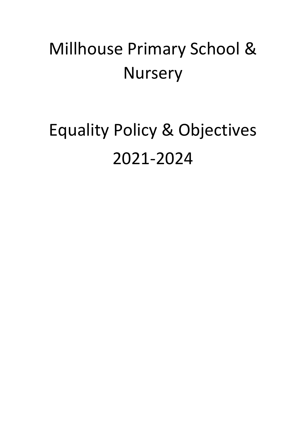## Millhouse Primary School & **Nursery**

# Equality Policy & Objectives 2021-2024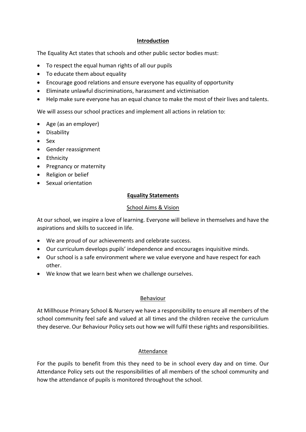#### **Introduction**

The Equality Act states that schools and other public sector bodies must:

- To respect the equal human rights of all our pupils
- To educate them about equality
- Encourage good relations and ensure everyone has equality of opportunity
- Eliminate unlawful discriminations, harassment and victimisation
- Help make sure everyone has an equal chance to make the most of their lives and talents.

We will assess our school practices and implement all actions in relation to:

- Age (as an employer)
- Disability
- Sex
- Gender reassignment
- Ethnicity
- Pregnancy or maternity
- Religion or belief
- Sexual orientation

#### **Equality Statements**

#### School Aims & Vision

At our school, we inspire a love of learning. Everyone will believe in themselves and have the aspirations and skills to succeed in life.

- We are proud of our achievements and celebrate success.
- Our curriculum develops pupils' independence and encourages inquisitive minds.
- Our school is a safe environment where we value everyone and have respect for each other.
- We know that we learn best when we challenge ourselves.

#### **Behaviour**

At Millhouse Primary School & Nursery we have a responsibility to ensure all members of the school community feel safe and valued at all times and the children receive the curriculum they deserve. Our Behaviour Policy sets out how we will fulfil these rights and responsibilities.

#### Attendance

For the pupils to benefit from this they need to be in school every day and on time. Our Attendance Policy sets out the responsibilities of all members of the school community and how the attendance of pupils is monitored throughout the school.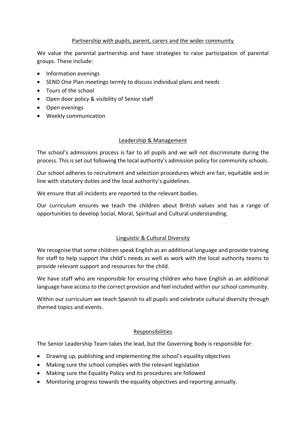#### Partnership with pupils, parent, carers and the wider community

We value the parental partnership and have strategies to raise participation of parental groups. These include:

- Information evenings
- SEND One Plan meetings termly to discuss individual plans and needs
- Tours of the school
- Open door policy & visibility of Senior staff
- Open evenings
- Weekly communication

#### Leadership & Management

The school's admissions process is fair to all pupils and we will not discriminate during the process. This is set out following the local authority's admission policy for community schools.

Our school adheres to recruitment and selection procedures which are fair, equitable and in line with statutory duties and the local authority's guidelines.

We ensure that all incidents are reported to the relevant bodies.

Our curriculum ensures we teach the children about British values and has a range of opportunities to develop Social, Moral, Spiritual and Cultural understanding.

#### Linguistic & Cultural Diversity

We recognise that some children speak English as an additional language and provide training for staff to help support the child's needs as well as work with the local authority teams to provide relevant support and resources for the child.

We have staff who are responsible for ensuring children who have English as an additional language have access to the correct provision and feel included within our school community.

Within our curriculum we teach Spanish to all pupils and celebrate cultural diversity through themed topics and events.

#### Responsibilities

The Senior Leadership Team takes the lead, but the Governing Body is responsible for:

- Drawing up, publishing and implementing the school's equality objectives
- Making sure the school complies with the relevant legislation
- Making sure the Equality Policy and its procedures are followed
- Monitoring progress towards the equality objectives and reporting annually.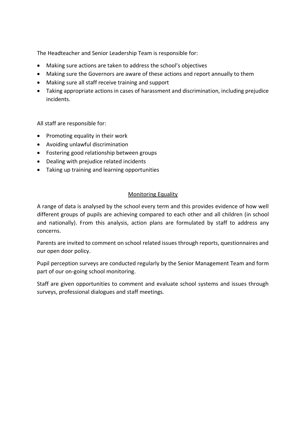The Headteacher and Senior Leadership Team is responsible for:

- Making sure actions are taken to address the school's objectives
- Making sure the Governors are aware of these actions and report annually to them
- Making sure all staff receive training and support
- Taking appropriate actions in cases of harassment and discrimination, including prejudice incidents.

All staff are responsible for:

- Promoting equality in their work
- Avoiding unlawful discrimination
- Fostering good relationship between groups
- Dealing with prejudice related incidents
- Taking up training and learning opportunities

#### Monitoring Equality

A range of data is analysed by the school every term and this provides evidence of how well different groups of pupils are achieving compared to each other and all children (in school and nationally). From this analysis, action plans are formulated by staff to address any concerns.

Parents are invited to comment on school related issues through reports, questionnaires and our open door policy.

Pupil perception surveys are conducted regularly by the Senior Management Team and form part of our on-going school monitoring.

Staff are given opportunities to comment and evaluate school systems and issues through surveys, professional dialogues and staff meetings.